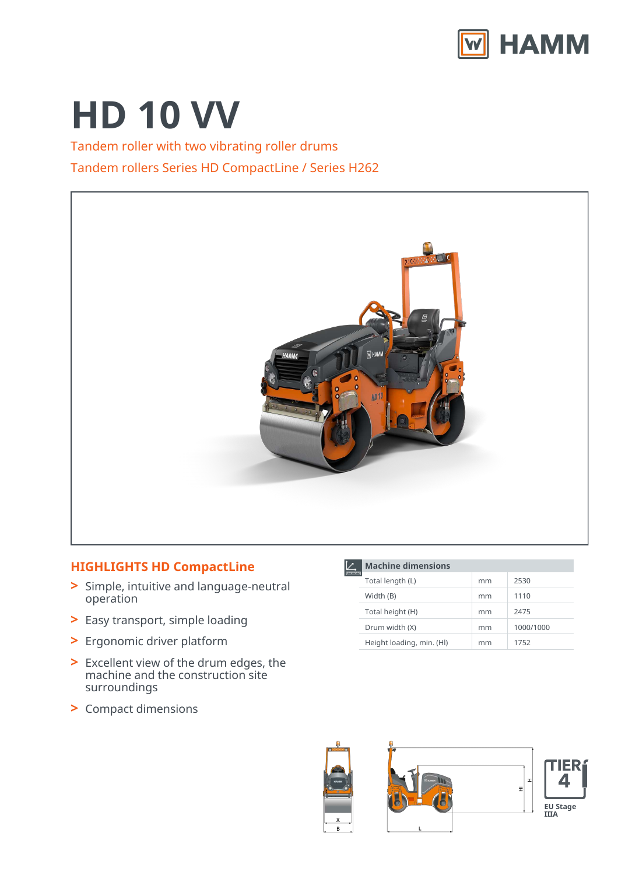

# **HD 10 VV**

Tandem roller with two vibrating roller drums Tandem rollers Series HD CompactLine / Series H262



## **HIGHLIGHTS HD CompactLine**

- Simple, intuitive and language-neutral **>** operation
- **>** Easy transport, simple loading
- **>** Ergonomic driver platform
- Excellent view of the drum edges, the **>** machine and the construction site surroundings
- **>** Compact dimensions

|  | <b>Machine dimensions</b> |    |           |  |
|--|---------------------------|----|-----------|--|
|  | Total length (L)          | mm | 2530      |  |
|  | Width (B)                 | mm | 1110      |  |
|  | Total height (H)          | mm | 2475      |  |
|  | Drum width (X)            | mm | 1000/1000 |  |
|  | Height loading, min. (HI) | mm | 1752      |  |